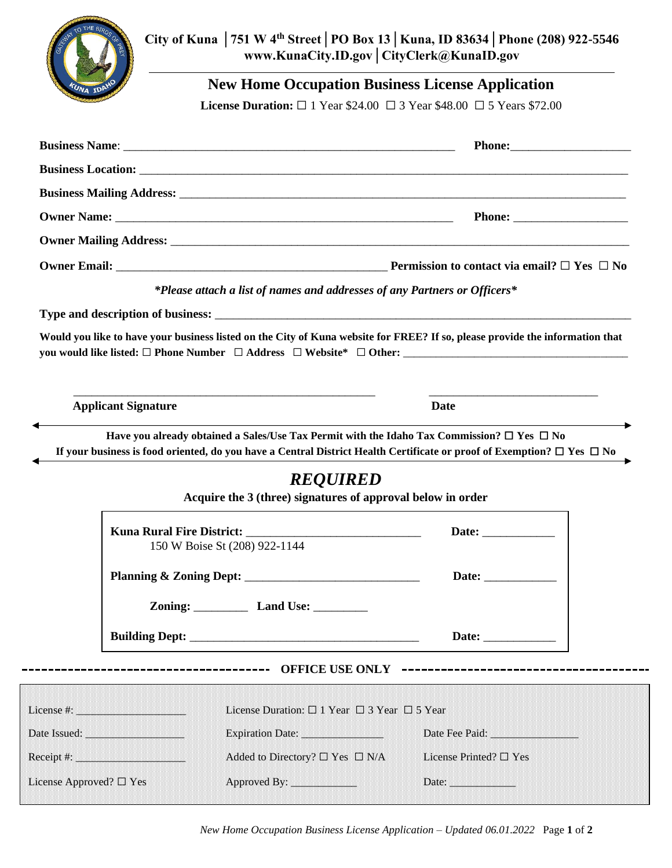

**City of Kuna │751 W 4th Street│PO Box 13│Kuna, ID 83634│Phone (208) 922-5546 www.KunaCity.ID.gov│CityClerk@KunaID.gov**

**New Home Occupation Business License Application**

**License Duration:** □ 1 Year \$24.00 □ 3 Year \$48.00 □ 5 Years \$72.00

|                            | *Please attach a list of names and addresses of any Partners or Officers*                                                                                                                                                                                   |                                                                                                                                                                                                                                |
|----------------------------|-------------------------------------------------------------------------------------------------------------------------------------------------------------------------------------------------------------------------------------------------------------|--------------------------------------------------------------------------------------------------------------------------------------------------------------------------------------------------------------------------------|
|                            |                                                                                                                                                                                                                                                             |                                                                                                                                                                                                                                |
|                            |                                                                                                                                                                                                                                                             | Would you like to have your business listed on the City of Kuna website for FREE? If so, please provide the information that                                                                                                   |
| <b>Applicant Signature</b> |                                                                                                                                                                                                                                                             | Date                                                                                                                                                                                                                           |
|                            | Have you already obtained a Sales/Use Tax Permit with the Idaho Tax Commission? $\Box$ Yes $\Box$ No<br>If your business is food oriented, do you have a Central District Health Certificate or proof of Exemption? $\Box$ Yes $\Box$ No<br><b>REQUIRED</b> |                                                                                                                                                                                                                                |
|                            | Acquire the 3 (three) signatures of approval below in order                                                                                                                                                                                                 |                                                                                                                                                                                                                                |
|                            |                                                                                                                                                                                                                                                             |                                                                                                                                                                                                                                |
|                            | 150 W Boise St (208) 922-1144                                                                                                                                                                                                                               |                                                                                                                                                                                                                                |
|                            |                                                                                                                                                                                                                                                             |                                                                                                                                                                                                                                |
|                            | Zoning: Land Use:                                                                                                                                                                                                                                           |                                                                                                                                                                                                                                |
|                            |                                                                                                                                                                                                                                                             |                                                                                                                                                                                                                                |
|                            | -----------------------------------<br><b>OFFICE USE ONLY</b>                                                                                                                                                                                               | --------------------------------------                                                                                                                                                                                         |
|                            | License Duration: $\Box$ 1 Year $\Box$ 3 Year $\Box$ 5 Year                                                                                                                                                                                                 |                                                                                                                                                                                                                                |
|                            | Date Issued: <b>Example 2014</b><br>Expiration Date: 2008. [1] Expiration Date:                                                                                                                                                                             | Date Fee Paid: The Case of the Case of the Case of the Case of the Case of the Case of the Case of the Case of the Case of the Case of the Case of the Case of the Case of the Case of the Case of the Case of the Case of the |
|                            | Added to Directory? $\Box$ Yes $\Box$ N/A<br>Receipt #: <u>______________________</u>                                                                                                                                                                       | License Printed? □ Yes                                                                                                                                                                                                         |